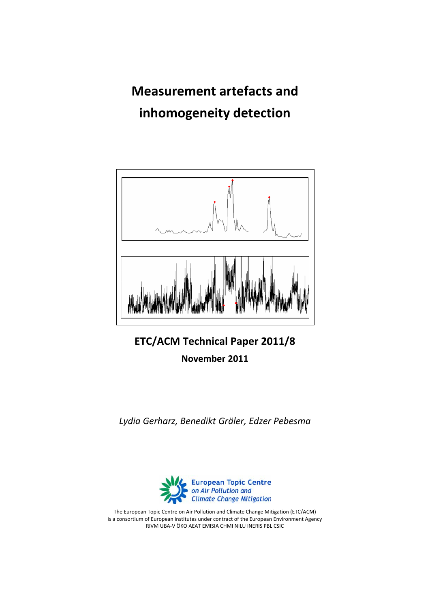**Measurement artefacts and inhomogeneity detection**



**ETC/ACM Technical Paper 2011/8**

**November 2011**

*Lydia Gerharz, Benedikt Gräler, Edzer Pebesma*



The European Topic Centre on Air Pollution and Climate Change Mitigation (ETC/ACM) is a consortium of European institutes under contract of the European Environment Agency RIVM UBA‐V ÖKO AEAT EMISIA CHMI NILU INERIS PBL CSIC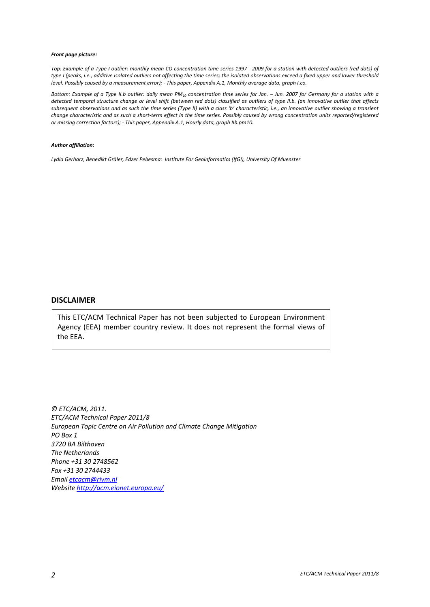#### *Front page picture:*

Top: Example of a Type I outlier: monthly mean CO concentration time series 1997 - 2009 for a station with detected outliers (red dots) of type I (peaks, i.e., additive isolated outliers not affecting the time series; the isolated observations exceed a fixed upper and lower threshold level. Possibly caused by a measurement error); - This paper, Appendix A.1, Monthly average data, graph I.co.

Bottom: Example of a Type II.b outlier: daily mean PM<sub>10</sub> concentration time series for Jan. - Jun. 2007 for Germany for a station with a detected temporal structure change or level shift (between red dots) classified as outliers of type II.b. (an innovative outlier that affects subsequent observations and as such the time series (Type II) with a class 'b' characteristic, i.e., an innovative outlier showing a transient change characteristic and as such a short-term effect in the time series. Possibly caused by wrong concentration units reported/registered *or missing correction factors); ‐ This paper, Appendix A.1, Hourly data, graph IIb.pm10.* 

#### *Author affiliation:*

*Lydia Gerharz, Benedikt Gräler, Edzer Pebesma: Institute For Geoinformatics (IfGI), University Of Muenster*

#### **DISCLAIMER**

This ETC/ACM Technical Paper has not been subjected to European Environment Agency (EEA) member country review. It does not represent the formal views of the EEA.

*© ETC/ACM, 2011. ETC/ACM Technical Paper 2011/8 European Topic Centre on Air Pollution and Climate Change Mitigation PO Box 1 3720 BA Bilthoven The Netherlands Phone +31 30 2748562 Fax +31 30 2744433 Email [etcacm@rivm.nl](mailto:etcacm@rivm.nl) Website <http://acm.eionet.europa.eu/>*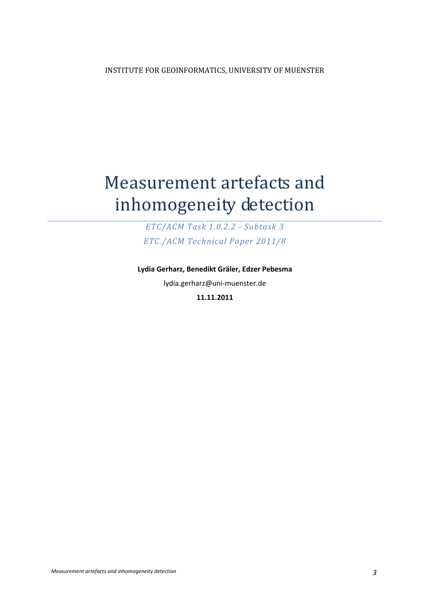# Measurement artefacts and inhomogeneity detection

*ETC/ACM Task 1.0.2.2 Subtask 3 ETC./ACM Technical Paper 2011/8*

**Lydia Gerharz, Benedikt Gräler, Edzer Pebesma** lydia.gerharz@uni‐muenster.de **11.11.2011**

*Measurement artefacts and inhomogeneity detection 3*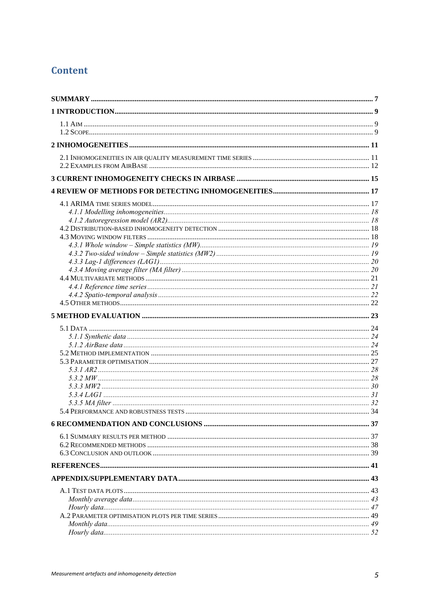# Content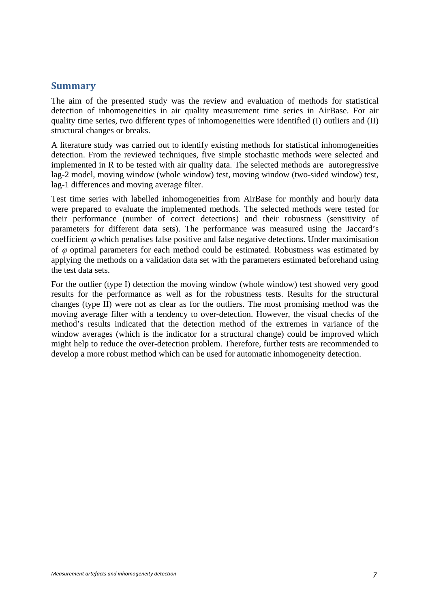#### <span id="page-6-0"></span>**Summary**

The aim of the presented study was the review and evaluation of methods for statistical detection of inhomogeneities in air quality measurement time series in AirBase. For air quality time series, two different types of inhomogeneities were identified (I) outliers and (II) structural changes or breaks.

A literature study was carried out to identify existing methods for statistical inhomogeneities detection. From the reviewed techniques, five simple stochastic methods were selected and implemented in R to be tested with air quality data. The selected methods are autoregressive lag-2 model, moving window (whole window) test, moving window (two-sided window) test, lag-1 differences and moving average filter.

Test time series with labelled inhomogeneities from AirBase for monthly and hourly data were prepared to evaluate the implemented methods. The selected methods were tested for their performance (number of correct detections) and their robustness (sensitivity of parameters for different data sets). The performance was measured using the Jaccard's coefficient  $\varphi$  which penalises false positive and false negative detections. Under maximisation of  $\varphi$  optimal parameters for each method could be estimated. Robustness was estimated by applying the methods on a validation data set with the parameters estimated beforehand using the test data sets.

For the outlier (type I) detection the moving window (whole window) test showed very good results for the performance as well as for the robustness tests. Results for the structural changes (type II) were not as clear as for the outliers. The most promising method was the moving average filter with a tendency to over-detection. However, the visual checks of the method's results indicated that the detection method of the extremes in variance of the window averages (which is the indicator for a structural change) could be improved which might help to reduce the over-detection problem. Therefore, further tests are recommended to develop a more robust method which can be used for automatic inhomogeneity detection.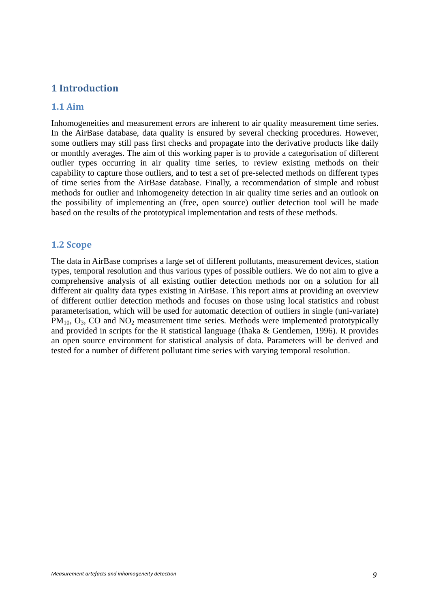## <span id="page-8-0"></span>**1 Introduction**

#### <span id="page-8-1"></span>**1.1 Aim**

Inhomogeneities and measurement errors are inherent to air quality measurement time series. In the AirBase database, data quality is ensured by several checking procedures. However, some outliers may still pass first checks and propagate into the derivative products like daily or monthly averages. The aim of this working paper is to provide a categorisation of different outlier types occurring in air quality time series, to review existing methods on their capability to capture those outliers, and to test a set of pre-selected methods on different types of time series from the AirBase database. Finally, a recommendation of simple and robust methods for outlier and inhomogeneity detection in air quality time series and an outlook on the possibility of implementing an (free, open source) outlier detection tool will be made based on the results of the prototypical implementation and tests of these methods.

#### <span id="page-8-2"></span>**1.2 Scope**

The data in AirBase comprises a large set of different pollutants, measurement devices, station types, temporal resolution and thus various types of possible outliers. We do not aim to give a comprehensive analysis of all existing outlier detection methods nor on a solution for all different air quality data types existing in AirBase. This report aims at providing an overview of different outlier detection methods and focuses on those using local statistics and robust parameterisation, which will be used for automatic detection of outliers in single (uni-variate)  $PM_{10}$ ,  $O_3$ , CO and  $NO_2$  measurement time series. Methods were implemented prototypically and provided in scripts for the R statistical language (Ihaka & Gentlemen, 1996). R provides an open source environment for statistical analysis of data. Parameters will be derived and tested for a number of different pollutant time series with varying temporal resolution.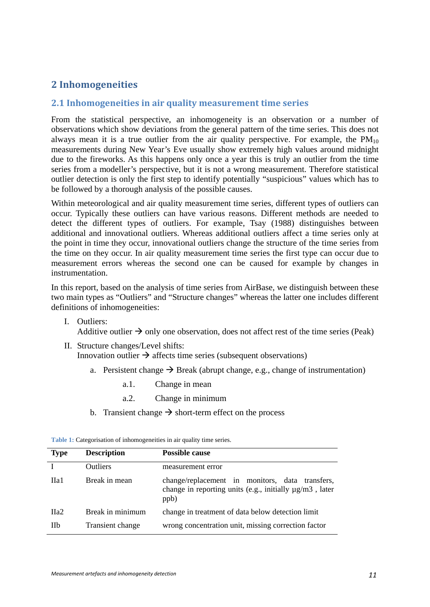## <span id="page-10-0"></span>**2 Inhomogeneities**

#### <span id="page-10-1"></span>**2.1 Inhomogeneities in air quality measurement time series**

From the statistical perspective, an inhomogeneity is an observation or a number of observations which show deviations from the general pattern of the time series. This does not always mean it is a true outlier from the air quality perspective. For example, the  $PM_{10}$ measurements during New Year's Eve usually show extremely high values around midnight due to the fireworks. As this happens only once a year this is truly an outlier from the time series from a modeller's perspective, but it is not a wrong measurement. Therefore statistical outlier detection is only the first step to identify potentially "suspicious" values which has to be followed by a thorough analysis of the possible causes.

Within meteorological and air quality measurement time series, different types of outliers can occur. Typically these outliers can have various reasons. Different methods are needed to detect the different types of outliers. For example, Tsay (1988) distinguishes between additional and innovational outliers. Whereas additional outliers affect a time series only at the point in time they occur, innovational outliers change the structure of the time series from the time on they occur. In air quality measurement time series the first type can occur due to measurement errors whereas the second one can be caused for example by changes in instrumentation.

In this report, based on the analysis of time series from AirBase, we distinguish between these two main types as "Outliers" and "Structure changes" whereas the latter one includes different definitions of inhomogeneities:

- I. Outliers: Additive outlier  $\rightarrow$  only one observation, does not affect rest of the time series (Peak)
- II. Structure changes/Level shifts: Innovation outlier  $\rightarrow$  affects time series (subsequent observations)
	- a. Persistent change  $\rightarrow$  Break (abrupt change, e.g., change of instrumentation)
		- a.1. Change in mean
		- a.2. Change in minimum
	- b. Transient change  $\rightarrow$  short-term effect on the process

| <b>Type</b> | <b>Description</b> | <b>Possible cause</b>                                                                                                   |
|-------------|--------------------|-------------------------------------------------------------------------------------------------------------------------|
|             | <b>Outliers</b>    | measurement error                                                                                                       |
| Ha1         | Break in mean      | change/replacement in monitors, data transfers,<br>change in reporting units (e.g., initially $\mu$ g/m3, later<br>ppb) |
| $\Pi$ a2    | Break in minimum   | change in treatment of data below detection limit                                                                       |
| <b>IIb</b>  | Transient change   | wrong concentration unit, missing correction factor                                                                     |

**Table 1:** Categorisation of inhomogeneities in air quality time series.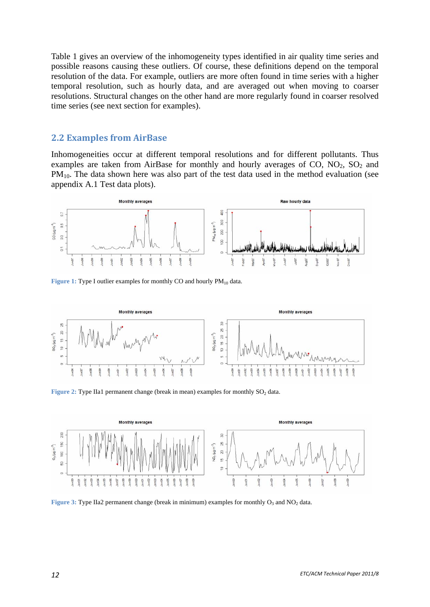Table 1 gives an overview of the inhomogeneity types identified in air quality time series and possible reasons causing these outliers. Of course, these definitions depend on the temporal resolution of the data. For example, outliers are more often found in time series with a higher temporal resolution, such as hourly data, and are averaged out when moving to coarser resolutions. Structural changes on the other hand are more regularly found in coarser resolved time series (see next section for examples).

#### <span id="page-11-0"></span>**2.2 Examples from AirBase**

Inhomogeneities occur at different temporal resolutions and for different pollutants. Thus examples are taken from AirBase for monthly and hourly averages of  $CO$ ,  $NO<sub>2</sub>$ ,  $SO<sub>2</sub>$  and PM<sub>10</sub>. The data shown here was also part of the test data used in the method evaluation (see appendix [A.1 Test data plots\)](#page-42-1).



**Figure 1:** Type I outlier examples for monthly CO and hourly PM<sub>10</sub> data.



**Figure 2:** Type IIa1 permanent change (break in mean) examples for monthly SO<sub>2</sub> data.



**Figure 3: Type IIa2 permanent change (break in minimum) examples for monthly O<sub>3</sub> and NO<sub>2</sub> data.**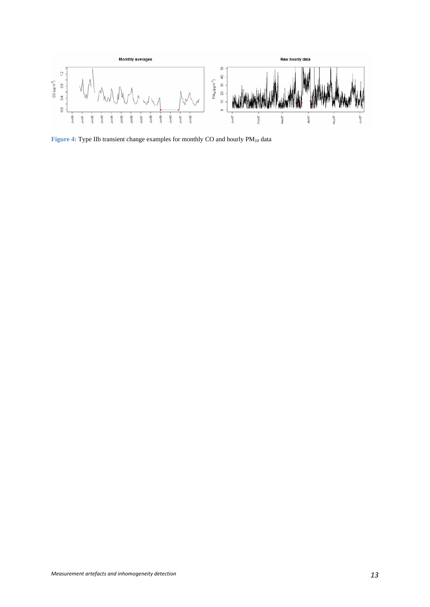

Figure 4: Type IIb transient change examples for monthly CO and hourly  $PM_{10}$  data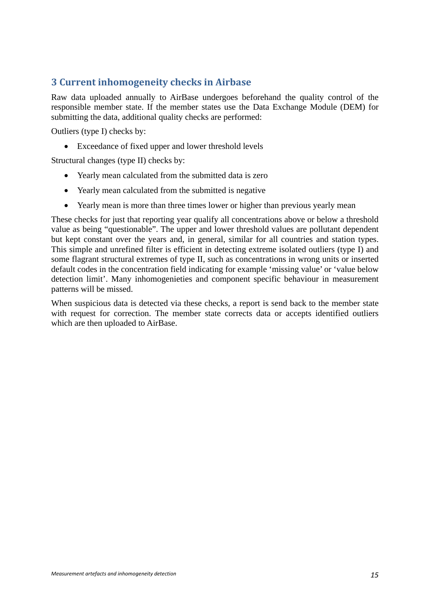## <span id="page-14-0"></span>**3 Current inhomogeneity checks in Airbase**

Raw data uploaded annually to AirBase undergoes beforehand the quality control of the responsible member state. If the member states use the Data Exchange Module (DEM) for submitting the data, additional quality checks are performed:

Outliers (type I) checks by:

Exceedance of fixed upper and lower threshold levels

Structural changes (type II) checks by:

- Yearly mean calculated from the submitted data is zero
- Yearly mean calculated from the submitted is negative
- Yearly mean is more than three times lower or higher than previous yearly mean

These checks for just that reporting year qualify all concentrations above or below a threshold value as being "questionable". The upper and lower threshold values are pollutant dependent but kept constant over the years and, in general, similar for all countries and station types. This simple and unrefined filter is efficient in detecting extreme isolated outliers (type I) and some flagrant structural extremes of type II, such as concentrations in wrong units or inserted default codes in the concentration field indicating for example 'missing value' or 'value below detection limit'. Many inhomogenieties and component specific behaviour in measurement patterns will be missed.

When suspicious data is detected via these checks, a report is send back to the member state with request for correction. The member state corrects data or accepts identified outliers which are then uploaded to AirBase.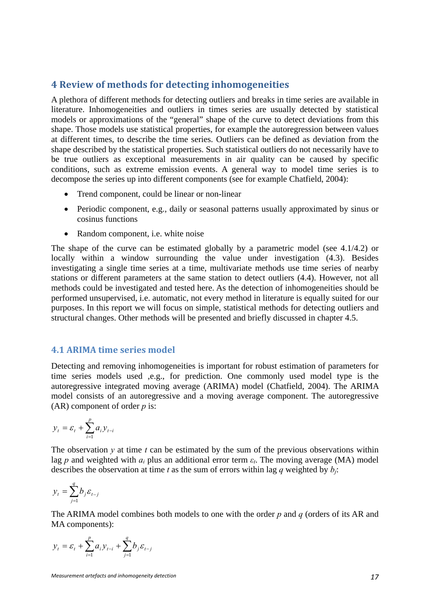## <span id="page-16-0"></span>**4 Review of methods for detecting inhomogeneities**

A plethora of different methods for detecting outliers and breaks in time series are available in literature. Inhomogeneities and outliers in times series are usually detected by statistical models or approximations of the "general" shape of the curve to detect deviations from this shape. Those models use statistical properties, for example the autoregression between values at different times, to describe the time series. Outliers can be defined as deviation from the shape described by the statistical properties. Such statistical outliers do not necessarily have to be true outliers as exceptional measurements in air quality can be caused by specific conditions, such as extreme emission events. A general way to model time series is to decompose the series up into different components (see for example Chatfield, 2004):

- Trend component, could be linear or non-linear
- Periodic component, e.g., daily or seasonal patterns usually approximated by sinus or cosinus functions
- Random component, i.e. white noise

The shape of the curve can be estimated globally by a parametric model (see 4.1/4.2) or locally within a window surrounding the value under investigation (4.3). Besides investigating a single time series at a time, multivariate methods use time series of nearby stations or different parameters at the same station to detect outliers (4.4). However, not all methods could be investigated and tested here. As the detection of inhomogeneities should be performed unsupervised, i.e. automatic, not every method in literature is equally suited for our purposes. In this report we will focus on simple, statistical methods for detecting outliers and structural changes. Other methods will be presented and briefly discussed in chapter 4.5.

#### <span id="page-16-1"></span>**4.1 ARIMA time series model**

Detecting and removing inhomogeneities is important for robust estimation of parameters for time series models used ,e.g., for prediction. One commonly used model type is the autoregressive integrated moving average (ARIMA) model (Chatfield, 2004). The ARIMA model consists of an autoregressive and a moving average component. The autoregressive (AR) component of order *p* is:

$$
y_t = \varepsilon_t + \sum_{i=1}^p a_i y_{t-i}
$$

The observation  $y$  at time  $t$  can be estimated by the sum of the previous observations within lag *p* and weighted with  $a_i$  plus an additional error term  $\varepsilon_t$ . The moving average (MA) model describes the observation at time *t* as the sum of errors within lag *q* weighted by  $b_i$ :

$$
y_t = \sum_{j=1}^q b_j \varepsilon_{t-j}
$$

The ARIMA model combines both models to one with the order *p* and *q* (orders of its AR and MA components):

$$
y_t = \varepsilon_t + \sum_{i=1}^p a_i y_{t-i} + \sum_{j=1}^q b_j \varepsilon_{t-j}
$$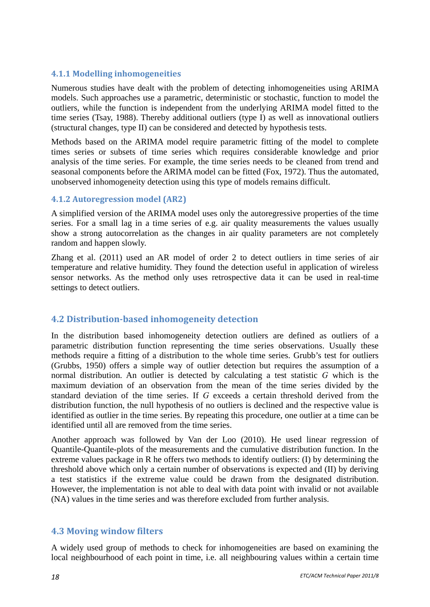#### <span id="page-17-0"></span>**4.1.1 Modelling inhomogeneities**

Numerous studies have dealt with the problem of detecting inhomogeneities using ARIMA models. Such approaches use a parametric, deterministic or stochastic, function to model the outliers, while the function is independent from the underlying ARIMA model fitted to the time series (Tsay, 1988). Thereby additional outliers (type I) as well as innovational outliers (structural changes, type II) can be considered and detected by hypothesis tests.

Methods based on the ARIMA model require parametric fitting of the model to complete times series or subsets of time series which requires considerable knowledge and prior analysis of the time series. For example, the time series needs to be cleaned from trend and seasonal components before the ARIMA model can be fitted (Fox, 1972). Thus the automated, unobserved inhomogeneity detection using this type of models remains difficult.

#### <span id="page-17-1"></span>**4.1.2 Autoregression model (AR2)**

A simplified version of the ARIMA model uses only the autoregressive properties of the time series. For a small lag in a time series of e.g. air quality measurements the values usually show a strong autocorrelation as the changes in air quality parameters are not completely random and happen slowly.

Zhang et al. (2011) used an AR model of order 2 to detect outliers in time series of air temperature and relative humidity. They found the detection useful in application of wireless sensor networks. As the method only uses retrospective data it can be used in real-time settings to detect outliers.

#### <span id="page-17-2"></span>**4.2 Distributionbased inhomogeneity detection**

In the distribution based inhomogeneity detection outliers are defined as outliers of a parametric distribution function representing the time series observations. Usually these methods require a fitting of a distribution to the whole time series. Grubb's test for outliers (Grubbs, 1950) offers a simple way of outlier detection but requires the assumption of a normal distribution. An outlier is detected by calculating a test statistic *G* which is the maximum deviation of an observation from the mean of the time series divided by the standard deviation of the time series. If *G* exceeds a certain threshold derived from the distribution function, the null hypothesis of no outliers is declined and the respective value is identified as outlier in the time series. By repeating this procedure, one outlier at a time can be identified until all are removed from the time series.

Another approach was followed by Van der Loo (2010). He used linear regression of Quantile-Quantile-plots of the measurements and the cumulative distribution function. In the extreme values package in R he offers two methods to identify outliers: (I) by determining the threshold above which only a certain number of observations is expected and (II) by deriving a test statistics if the extreme value could be drawn from the designated distribution. However, the implementation is not able to deal with data point with invalid or not available (NA) values in the time series and was therefore excluded from further analysis.

#### <span id="page-17-3"></span>**4.3 Moving window filters**

A widely used group of methods to check for inhomogeneities are based on examining the local neighbourhood of each point in time, i.e. all neighbouring values within a certain time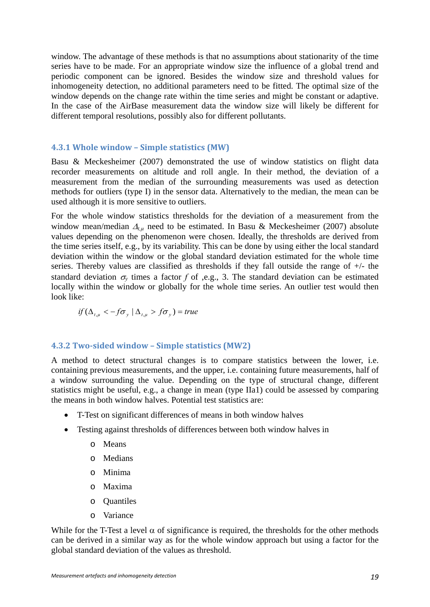window. The advantage of these methods is that no assumptions about stationarity of the time series have to be made. For an appropriate window size the influence of a global trend and periodic component can be ignored. Besides the window size and threshold values for inhomogeneity detection, no additional parameters need to be fitted. The optimal size of the window depends on the change rate within the time series and might be constant or adaptive. In the case of the AirBase measurement data the window size will likely be different for different temporal resolutions, possibly also for different pollutants.

#### <span id="page-18-0"></span>**4.3.1 Whole window – Simple statistics (MW)**

Basu & Meckesheimer (2007) demonstrated the use of window statistics on flight data recorder measurements on altitude and roll angle. In their method, the deviation of a measurement from the median of the surrounding measurements was used as detection methods for outliers (type I) in the sensor data. Alternatively to the median, the mean can be used although it is more sensitive to outliers.

For the whole window statistics thresholds for the deviation of a measurement from the window mean/median  $\Delta_{\mu}$  need to be estimated. In Basu & Meckesheimer (2007) absolute values depending on the phenomenon were chosen. Ideally, the thresholds are derived from the time series itself, e.g., by its variability. This can be done by using either the local standard deviation within the window or the global standard deviation estimated for the whole time series. Thereby values are classified as thresholds if they fall outside the range of +/- the standard deviation  $\sigma_v$  times a factor f of ,e.g., 3. The standard deviation can be estimated locally within the window or globally for the whole time series. An outlier test would then look like:

$$
if (\Delta_{t,\mu} < -f\sigma_y \mid \Delta_{t,\mu} > f\sigma_y) = true
$$

#### <span id="page-18-1"></span>**4.3.2 Twosided window – Simple statistics (MW2)**

A method to detect structural changes is to compare statistics between the lower, i.e. containing previous measurements, and the upper, i.e. containing future measurements, half of a window surrounding the value. Depending on the type of structural change, different statistics might be useful, e.g., a change in mean (type IIa1) could be assessed by comparing the means in both window halves. Potential test statistics are:

- T-Test on significant differences of means in both window halves
- Testing against thresholds of differences between both window halves in
	- o Means
	- o Medians
	- o Minima
	- o Maxima
	- o Quantiles
	- o Variance

While for the T-Test a level  $\alpha$  of significance is required, the thresholds for the other methods can be derived in a similar way as for the whole window approach but using a factor for the global standard deviation of the values as threshold.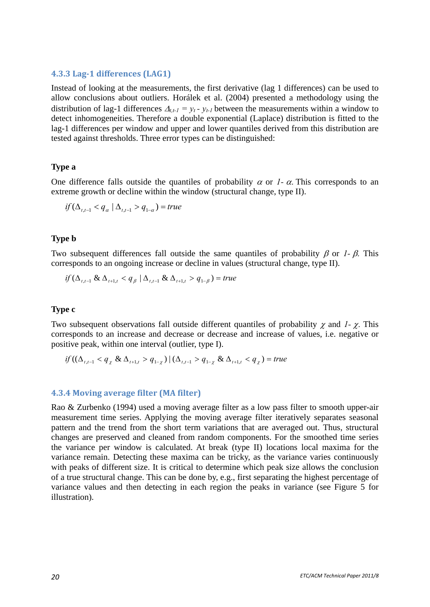#### <span id="page-19-0"></span>**4.3.3 Lag1 differences (LAG1)**

Instead of looking at the measurements, the first derivative (lag 1 differences) can be used to allow conclusions about outliers. Horálek et al. (2004) presented a methodology using the distribution of lag-1 differences  $\Delta_{t,t-1} = y_t - y_{t-1}$  between the measurements within a window to detect inhomogeneities. Therefore a double exponential (Laplace) distribution is fitted to the lag-1 differences per window and upper and lower quantiles derived from this distribution are tested against thresholds. Three error types can be distinguished:

#### **Type a**

One difference falls outside the quantiles of probability  $\alpha$  or *1*- $\alpha$ . This corresponds to an extreme growth or decline within the window (structural change, type II).

$$
if (\Delta_{t,t-1} < q_\alpha \mid \Delta_{t,t-1} > q_{1-\alpha}) = true
$$

#### **Type b**

Two subsequent differences fall outside the same quantiles of probability  $\beta$  or *1*- $\beta$ . This corresponds to an ongoing increase or decline in values (structural change, type II).

$$
if (\Delta_{t,t-1} \& \Delta_{t+1,t} < q_{\beta} \mid \Delta_{t,t-1} \& \Delta_{t+1,t} > q_{1-\beta}) = true
$$

#### **Type c**

Two subsequent observations fall outside different quantiles of probability  $\chi$  and *1-*  $\chi$ . This corresponds to an increase and decrease or decrease and increase of values, i.e. negative or positive peak, within one interval (outlier, type I).

$$
if ((\Delta_{t,t-1} < q_{\chi} \& \Delta_{t+1,t} > q_{1-\chi}) \mid (\Delta_{t,t-1} > q_{1-\chi} \& \Delta_{t+1,t} < q_{\chi}) = true
$$

#### <span id="page-19-1"></span>**4.3.4 Moving average filter (MA filter)**

Rao & Zurbenko (1994) used a moving average filter as a low pass filter to smooth upper-air measurement time series. Applying the moving average filter iteratively separates seasonal pattern and the trend from the short term variations that are averaged out. Thus, structural changes are preserved and cleaned from random components. For the smoothed time series the variance per window is calculated. At break (type II) locations local maxima for the variance remain. Detecting these maxima can be tricky, as the variance varies continuously with peaks of different size. It is critical to determine which peak size allows the conclusion of a true structural change. This can be done by, e.g., first separating the highest percentage of variance values and then detecting in each region the peaks in variance (see [Figure 5](#page-20-2) for illustration).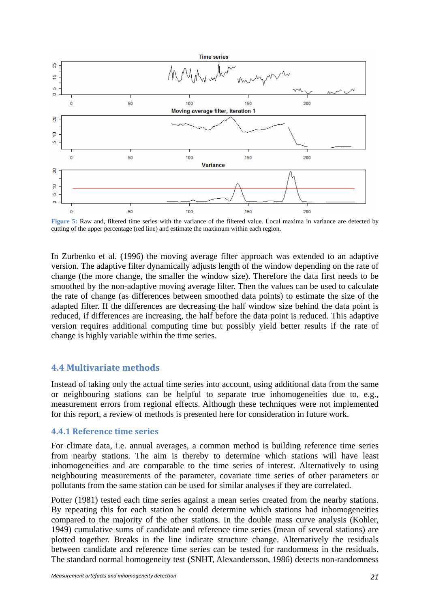

<span id="page-20-2"></span>**Figure 5:** Raw and, filtered time series with the variance of the filtered value. Local maxima in variance are detected by cutting of the upper percentage (red line) and estimate the maximum within each region.

In Zurbenko et al. (1996) the moving average filter approach was extended to an adaptive version. The adaptive filter dynamically adjusts length of the window depending on the rate of change (the more change, the smaller the window size). Therefore the data first needs to be smoothed by the non-adaptive moving average filter. Then the values can be used to calculate the rate of change (as differences between smoothed data points) to estimate the size of the adapted filter. If the differences are decreasing the half window size behind the data point is reduced, if differences are increasing, the half before the data point is reduced. This adaptive version requires additional computing time but possibly yield better results if the rate of change is highly variable within the time series.

#### <span id="page-20-0"></span>**4.4 Multivariate methods**

Instead of taking only the actual time series into account, using additional data from the same or neighbouring stations can be helpful to separate true inhomogeneities due to, e.g., measurement errors from regional effects. Although these techniques were not implemented for this report, a review of methods is presented here for consideration in future work.

#### <span id="page-20-1"></span>**4.4.1 Reference time series**

For climate data, i.e. annual averages, a common method is building reference time series from nearby stations. The aim is thereby to determine which stations will have least inhomogeneities and are comparable to the time series of interest. Alternatively to using neighbouring measurements of the parameter, covariate time series of other parameters or pollutants from the same station can be used for similar analyses if they are correlated.

Potter (1981) tested each time series against a mean series created from the nearby stations. By repeating this for each station he could determine which stations had inhomogeneities compared to the majority of the other stations. In the double mass curve analysis (Kohler, 1949) cumulative sums of candidate and reference time series (mean of several stations) are plotted together. Breaks in the line indicate structure change. Alternatively the residuals between candidate and reference time series can be tested for randomness in the residuals. The standard normal homogeneity test (SNHT, Alexandersson, 1986) detects non-randomness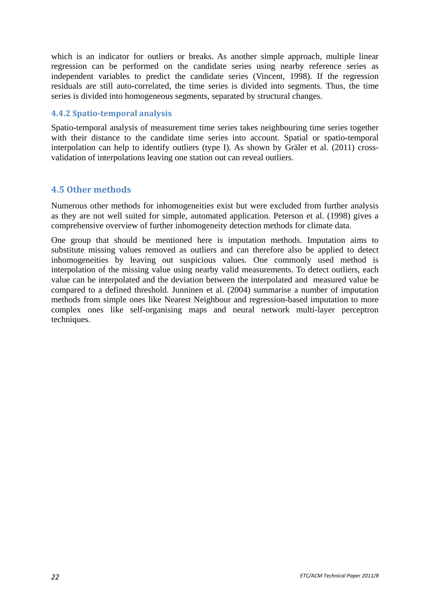which is an indicator for outliers or breaks. As another simple approach, multiple linear regression can be performed on the candidate series using nearby reference series as independent variables to predict the candidate series (Vincent, 1998). If the regression residuals are still auto-correlated, the time series is divided into segments. Thus, the time series is divided into homogeneous segments, separated by structural changes.

#### <span id="page-21-0"></span>**4.4.2 Spatiotemporal analysis**

Spatio-temporal analysis of measurement time series takes neighbouring time series together with their distance to the candidate time series into account. Spatial or spatio-temporal interpolation can help to identify outliers (type I). As shown by Gräler et al. (2011) crossvalidation of interpolations leaving one station out can reveal outliers.

## <span id="page-21-1"></span>**4.5 Other methods**

Numerous other methods for inhomogeneities exist but were excluded from further analysis as they are not well suited for simple, automated application. Peterson et al. (1998) gives a comprehensive overview of further inhomogeneity detection methods for climate data.

One group that should be mentioned here is imputation methods. Imputation aims to substitute missing values removed as outliers and can therefore also be applied to detect inhomogeneities by leaving out suspicious values. One commonly used method is interpolation of the missing value using nearby valid measurements. To detect outliers, each value can be interpolated and the deviation between the interpolated and measured value be compared to a defined threshold. Junninen et al. (2004) summarise a number of imputation methods from simple ones like Nearest Neighbour and regression-based imputation to more complex ones like self-organising maps and neural network multi-layer perceptron techniques.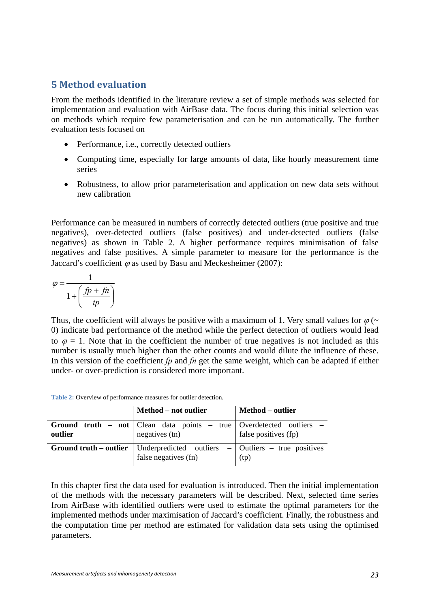## <span id="page-22-0"></span>**5 Method evaluation**

From the methods identified in the literature review a set of simple methods was selected for implementation and evaluation with AirBase data. The focus during this initial selection was on methods which require few parameterisation and can be run automatically. The further evaluation tests focused on

- Performance, i.e., correctly detected outliers
- Computing time, especially for large amounts of data, like hourly measurement time series
- Robustness, to allow prior parameterisation and application on new data sets without new calibration

Performance can be measured in numbers of correctly detected outliers (true positive and true negatives), over-detected outliers (false positives) and under-detected outliers (false negatives) as shown in [Table 2](#page-22-1). A higher performance requires minimisation of false negatives and false positives. A simple parameter to measure for the performance is the Jaccard's coefficient  $\varphi$  as used by Basu and Meckesheimer (2007):

$$
\varphi = \frac{1}{1 + \left(\frac{fp + fn}{tp}\right)}
$$

Thus, the coefficient will always be positive with a maximum of 1. Very small values for  $\varphi$  (~ 0) indicate bad performance of the method while the perfect detection of outliers would lead to  $\varphi = 1$ . Note that in the coefficient the number of true negatives is not included as this number is usually much higher than the other counts and would dilute the influence of these. In this version of the coefficient *fp* and *fn* get the same weight, which can be adapted if either under- or over-prediction is considered more important.

**Table 2:** Overview of performance measures for outlier detection.

<span id="page-22-1"></span>

|         | Method – not outlier                                                                                              | Method – outlier     |  |
|---------|-------------------------------------------------------------------------------------------------------------------|----------------------|--|
| outlier | <b>Ground truth - not</b>   Clean data points - true   Overdetected outliers -<br>$negatives$ (tn)                | false positives (fp) |  |
|         | <b>Ground truth – outlier</b> Underpredicted outliers – $\vert$ Outliers – true positives<br>false negatives (fn) | (tp)                 |  |

In this chapter first the data used for evaluation is introduced. Then the initial implementation of the methods with the necessary parameters will be described. Next, selected time series from AirBase with identified outliers were used to estimate the optimal parameters for the implemented methods under maximisation of Jaccard's coefficient. Finally, the robustness and the computation time per method are estimated for validation data sets using the optimised parameters.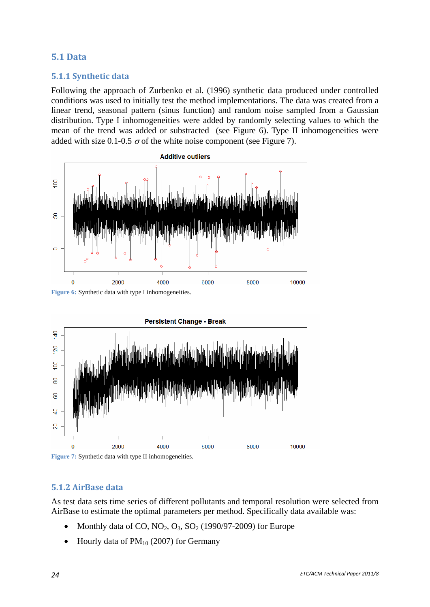#### <span id="page-23-0"></span>**5.1 Data**

## **5.1.1 Synthetic data**

<span id="page-23-1"></span>Following the approach of Zurbenko et al. (1996) synthetic data produced under controlled conditions was used to initially test the method implementations. The data was created from a linear trend, seasonal pattern (sinus function) and random noise sampled from a Gaussian distribution. Type I inhomogeneities were added by randomly selecting values to which the mean of the trend was added or substracted (see [Figure 6\)](#page-23-3). Type II inhomogeneities were added with size 0.1-0.5  $\sigma$  of the white noise component (see [Figure 7](#page-23-4)).



<span id="page-23-3"></span>Figure 6: Synthetic data with type I inhomogeneities.



<span id="page-23-4"></span>Figure 7: Synthetic data with type II inhomogeneities.

#### <span id="page-23-2"></span>**5.1.2 AirBase data**

As test data sets time series of different pollutants and temporal resolution were selected from AirBase to estimate the optimal parameters per method. Specifically data available was:

- Monthly data of CO,  $NO_2$ ,  $O_3$ ,  $SO_2$  (1990/97-2009) for Europe
- Hourly data of  $PM_{10}$  (2007) for Germany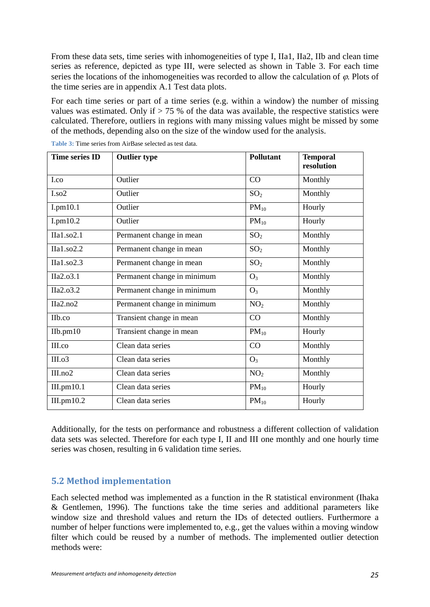From these data sets, time series with inhomogeneities of type I, IIa1, IIa2, IIb and clean time series as reference, depicted as type III, were selected as shown in [Table 3.](#page-24-1) For each time series the locations of the inhomogeneities was recorded to allow the calculation of  $\varphi$ . Plots of the time series are in appendix [A.1 Test data plots.](#page-42-1)

For each time series or part of a time series (e.g. within a window) the number of missing values was estimated. Only if  $> 75$  % of the data was available, the respective statistics were calculated. Therefore, outliers in regions with many missing values might be missed by some of the methods, depending also on the size of the window used for the analysis.

<span id="page-24-1"></span>

| <b>Time series ID</b> | <b>Outlier type</b>         | <b>Pollutant</b> | <b>Temporal</b><br>resolution |
|-----------------------|-----------------------------|------------------|-------------------------------|
| I.co                  | Outlier                     | CO               | Monthly                       |
| I.so2                 | Outlier                     | SO <sub>2</sub>  | Monthly                       |
| I.pm10.1              | Outlier                     | $PM_{10}$        | Hourly                        |
| I.pm10.2              | Outlier                     | $PM_{10}$        | Hourly                        |
| IIa1.so2.1            | Permanent change in mean    | SO <sub>2</sub>  | Monthly                       |
| IIa1.so2.2            | Permanent change in mean    | SO <sub>2</sub>  | Monthly                       |
| IIa1.so2.3            | Permanent change in mean    | SO <sub>2</sub>  | Monthly                       |
| IIa2.o3.1             | Permanent change in minimum | $O_3$            | Monthly                       |
| IIa2.o3.2             | Permanent change in minimum | $O_3$            | Monthly                       |
| IIa2.no2              | Permanent change in minimum | NO <sub>2</sub>  | Monthly                       |
| IIb.co                | Transient change in mean    | CO               | Monthly                       |
| $IIb$ .pm $10$        | Transient change in mean    | $PM_{10}$        | Hourly                        |
| III.co                | Clean data series           | CO               | Monthly                       |
| III.03                | Clean data series           | $O_3$            | Monthly                       |
| III.no2               | Clean data series           | NO <sub>2</sub>  | Monthly                       |
| III.pm10.1            | Clean data series           | $PM_{10}$        | Hourly                        |
| III.pm10.2            | Clean data series           | $PM_{10}$        | Hourly                        |

**Table 3:** Time series from AirBase selected as test data.

Additionally, for the tests on performance and robustness a different collection of validation data sets was selected. Therefore for each type I, II and III one monthly and one hourly time series was chosen, resulting in 6 validation time series.

## <span id="page-24-0"></span>**5.2 Method implementation**

Each selected method was implemented as a function in the R statistical environment (Ihaka & Gentlemen, 1996). The functions take the time series and additional parameters like window size and threshold values and return the IDs of detected outliers. Furthermore a number of helper functions were implemented to, e.g., get the values within a moving window filter which could be reused by a number of methods. The implemented outlier detection methods were: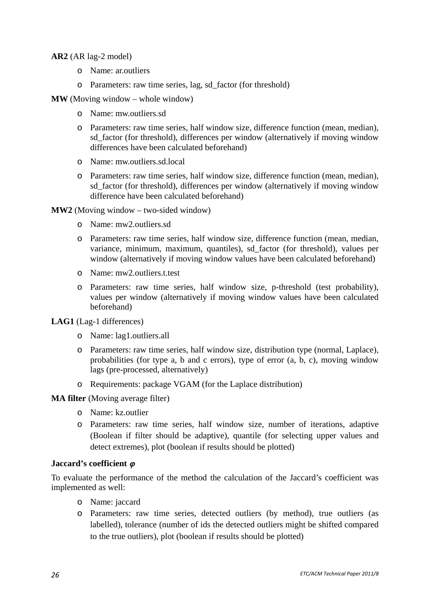#### **AR2** (AR lag-2 model)

- o Name: ar.outliers
- o Parameters: raw time series, lag, sd\_factor (for threshold)

#### **MW** (Moving window – whole window)

- o Name: mw.outliers.sd
- o Parameters: raw time series, half window size, difference function (mean, median), sd\_factor (for threshold), differences per window (alternatively if moving window differences have been calculated beforehand)
- o Name: mw.outliers.sd.local
- o Parameters: raw time series, half window size, difference function (mean, median), sd factor (for threshold), differences per window (alternatively if moving window difference have been calculated beforehand)

#### **MW2** (Moving window – two-sided window)

- o Name: mw2.outliers.sd
- o Parameters: raw time series, half window size, difference function (mean, median, variance, minimum, maximum, quantiles), sd\_factor (for threshold), values per window (alternatively if moving window values have been calculated beforehand)
- o Name: mw2.outliers.t.test
- o Parameters: raw time series, half window size, p-threshold (test probability), values per window (alternatively if moving window values have been calculated beforehand)

**LAG1** (Lag-1 differences)

- o Name: lag1.outliers.all
- o Parameters: raw time series, half window size, distribution type (normal, Laplace), probabilities (for type a, b and c errors), type of error (a, b, c), moving window lags (pre-processed, alternatively)
- o Requirements: package VGAM (for the Laplace distribution)

#### **MA filter** (Moving average filter)

- o Name: kz.outlier
- o Parameters: raw time series, half window size, number of iterations, adaptive (Boolean if filter should be adaptive), quantile (for selecting upper values and detect extremes), plot (boolean if results should be plotted)

#### **Jaccard's coefficient**

To evaluate the performance of the method the calculation of the Jaccard's coefficient was implemented as well:

- o Name: jaccard
- o Parameters: raw time series, detected outliers (by method), true outliers (as labelled), tolerance (number of ids the detected outliers might be shifted compared to the true outliers), plot (boolean if results should be plotted)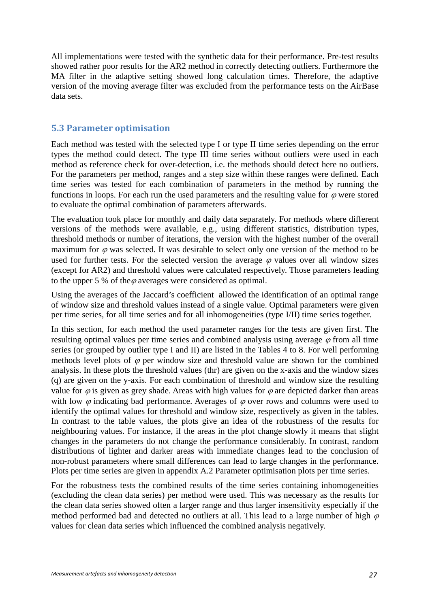All implementations were tested with the synthetic data for their performance. Pre-test results showed rather poor results for the AR2 method in correctly detecting outliers. Furthermore the MA filter in the adaptive setting showed long calculation times. Therefore, the adaptive version of the moving average filter was excluded from the performance tests on the AirBase data sets.

#### <span id="page-26-0"></span>**5.3 Parameter optimisation**

Each method was tested with the selected type I or type II time series depending on the error types the method could detect. The type III time series without outliers were used in each method as reference check for over-detection, i.e. the methods should detect here no outliers. For the parameters per method, ranges and a step size within these ranges were defined. Each time series was tested for each combination of parameters in the method by running the functions in loops. For each run the used parameters and the resulting value for  $\varphi$  were stored to evaluate the optimal combination of parameters afterwards.

The evaluation took place for monthly and daily data separately. For methods where different versions of the methods were available, e.g., using different statistics, distribution types, threshold methods or number of iterations, the version with the highest number of the overall maximum for  $\varphi$  was selected. It was desirable to select only one version of the method to be used for further tests. For the selected version the average  $\varphi$  values over all window sizes (except for AR2) and threshold values were calculated respectively. Those parameters leading to the upper 5 % of the  $\varphi$  averages were considered as optimal.

Using the averages of the Jaccard's coefficient allowed the identification of an optimal range of window size and threshold values instead of a single value. Optimal parameters were given per time series, for all time series and for all inhomogeneities (type I/II) time series together.

In this section, for each method the used parameter ranges for the tests are given first. The resulting optimal values per time series and combined analysis using average  $\varphi$  from all time series (or grouped by outlier type I and II) are listed in the Tables 4 to 8. For well performing methods level plots of  $\varphi$  per window size and threshold value are shown for the combined analysis. In these plots the threshold values (thr) are given on the x-axis and the window sizes (q) are given on the y-axis. For each combination of threshold and window size the resulting value for  $\varphi$  is given as grey shade. Areas with high values for  $\varphi$  are depicted darker than areas with low  $\varphi$  indicating bad performance. Averages of  $\varphi$  over rows and columns were used to identify the optimal values for threshold and window size, respectively as given in the tables. In contrast to the table values, the plots give an idea of the robustness of the results for neighbouring values. For instance, if the areas in the plot change slowly it means that slight changes in the parameters do not change the performance considerably. In contrast, random distributions of lighter and darker areas with immediate changes lead to the conclusion of non-robust parameters where small differences can lead to large changes in the performance. Plots per time series are given in appendix [A.2 Parameter optimisation plots per time series](#page-48-0).

For the robustness tests the combined results of the time series containing inhomogeneities (excluding the clean data series) per method were used. This was necessary as the results for the clean data series showed often a larger range and thus larger insensitivity especially if the method performed bad and detected no outliers at all. This lead to a large number of high  $\varphi$ values for clean data series which influenced the combined analysis negatively.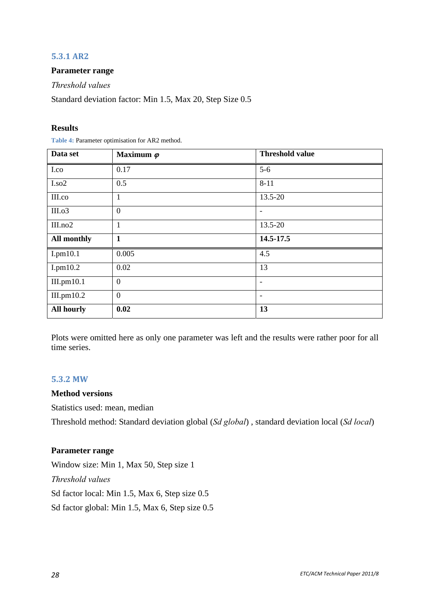#### **5.3.1 AR2**

#### <span id="page-27-0"></span>**Parameter range**

*Threshold values* 

Standard deviation factor: Min 1.5, Max 20, Step Size 0.5

#### **Results**

**Table 4:** Parameter optimisation for AR2 method.

| Data set          | Maximum $\varphi$ | <b>Threshold value</b>   |
|-------------------|-------------------|--------------------------|
| I.co              | 0.17              | $5-6$                    |
| I.so2             | 0.5               | $8 - 11$                 |
| III.co            | 1                 | 13.5-20                  |
| III.o3            | $\overline{0}$    | $\overline{\phantom{a}}$ |
| III.no2           | 1                 | 13.5-20                  |
| All monthly       | 1                 | 14.5-17.5                |
| I.pm10.1          | 0.005             | 4.5                      |
| I.pm10.2          | 0.02              | 13                       |
| III.pm10.1        | $\overline{0}$    | $\overline{\phantom{a}}$ |
| III.pm10.2        | $\Omega$          | $\overline{\phantom{a}}$ |
| <b>All hourly</b> | 0.02              | 13                       |

Plots were omitted here as only one parameter was left and the results were rather poor for all time series.

#### **5.3.2 MW**

#### <span id="page-27-1"></span>**Method versions**

Statistics used: mean, median

Threshold method: Standard deviation global (*Sd global*) , standard deviation local (*Sd local*)

#### **Parameter range**

Window size: Min 1, Max 50, Step size 1 *Threshold values*  Sd factor local: Min 1.5, Max 6, Step size 0.5 Sd factor global: Min 1.5, Max 6, Step size 0.5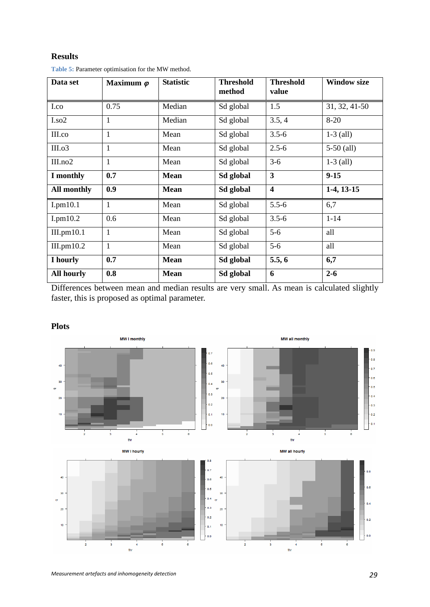#### **Results**

<span id="page-28-0"></span>

| Data set           | Maximum $\varphi$ | <b>Statistic</b> | <b>Threshold</b><br>method | <b>Threshold</b><br>value | <b>Window size</b> |
|--------------------|-------------------|------------------|----------------------------|---------------------------|--------------------|
| I.co               | 0.75              | Median           | Sd global                  | 1.5                       | 31, 32, 41-50      |
| $I.$ so $2$        | 1                 | Median           | Sd global                  | 3.5, 4                    | $8 - 20$           |
| III.co             | $\mathbf{1}$      | Mean             | Sd global                  | $3.5 - 6$                 | $1-3$ (all)        |
| III.o3             | $\mathbf{1}$      | Mean             | Sd global                  | $2.5 - 6$                 | $5-50$ (all)       |
| III.no2            | $\mathbf{1}$      | Mean             | Sd global                  | $3-6$                     | $1-3$ (all)        |
| I monthly          | 0.7               | <b>Mean</b>      | Sd global                  | $\mathbf{3}$              | $9 - 15$           |
| <b>All monthly</b> | 0.9               | <b>Mean</b>      | Sd global                  | $\overline{\mathbf{4}}$   | $1-4$ , $13-15$    |
| I.pm10.1           | $\mathbf{1}$      | Mean             | Sd global                  | $5.5 - 6$                 | 6,7                |
| I.pm10.2           | 0.6               | Mean             | Sd global                  | $3.5 - 6$                 | $1 - 14$           |
| III.pm10.1         | $\mathbf{1}$      | Mean             | Sd global                  | $5-6$                     | all                |
| III.pm10.2         | $\mathbf{1}$      | Mean             | Sd global                  | $5-6$                     | all                |
| I hourly           | 0.7               | <b>Mean</b>      | Sd global                  | 5.5, 6                    | 6,7                |
| <b>All hourly</b>  | 0.8               | <b>Mean</b>      | Sd global                  | 6                         | $2 - 6$            |

**Table 5:** Parameter optimisation for the MW method.

Differences between mean and median results are very small. As mean is calculated slightly faster, this is proposed as optimal parameter.

#### **Plots**

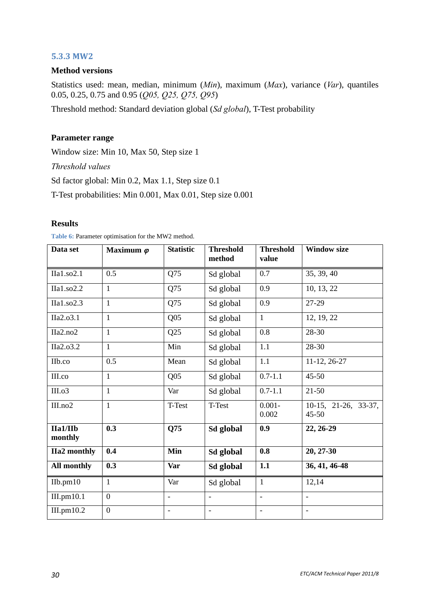#### **5.3.3 MW2**

#### <span id="page-29-0"></span>**Method versions**

Statistics used: mean, median, minimum (*Min*), maximum (*Max*), variance (*Var*), quantiles 0.05, 0.25, 0.75 and 0.95 (*Q05, Q25, Q75, Q95*)

Threshold method: Standard deviation global (*Sd global*), T-Test probability

#### **Parameter range**

Window size: Min 10, Max 50, Step size 1

*Threshold values* 

Sd factor global: Min 0.2, Max 1.1, Step size 0.1

T-Test probabilities: Min 0.001, Max 0.01, Step size 0.001

#### **Results**

| Data set            | Maximum $\varphi$ | <b>Statistic</b>         | <b>Threshold</b><br>method | <b>Threshold</b><br>value | <b>Window size</b>                |
|---------------------|-------------------|--------------------------|----------------------------|---------------------------|-----------------------------------|
| IIa1.so2.1          | 0.5               | Q75                      | Sd global                  | 0.7                       | 35, 39, 40                        |
| IIa1.so2.2          | $\mathbf{1}$      | Q75                      | Sd global                  | 0.9                       | 10, 13, 22                        |
| IIa1.so2.3          | $\mathbf{1}$      | Q75                      | Sd global                  | 0.9                       | 27-29                             |
| IIa2.o3.1           | $\mathbf{1}$      | Q <sub>05</sub>          | Sd global                  | $\mathbf{1}$              | 12, 19, 22                        |
| IIa2.no2            | $\mathbf{1}$      | Q25                      | Sd global                  | 0.8                       | 28-30                             |
| IIa2.o3.2           | $\mathbf{1}$      | Min                      | Sd global                  | 1.1                       | 28-30                             |
| IIb.co              | 0.5               | Mean                     | Sd global                  | 1.1                       | 11-12, 26-27                      |
| III.co              | $\mathbf{1}$      | Q <sub>05</sub>          | Sd global                  | $0.7 - 1.1$               | $45 - 50$                         |
| III.o3              | $\mathbf{1}$      | Var                      | Sd global                  | $0.7 - 1.1$               | $21 - 50$                         |
| III.no2             | $\mathbf{1}$      | T-Test                   | T-Test                     | $0.001 -$<br>0.002        | 10-15, 21-26, 33-37,<br>$45 - 50$ |
| IIa1/IIb<br>monthly | 0.3               | Q75                      | Sd global                  | 0.9                       | 22, 26-29                         |
| <b>Ha2</b> monthly  | 0.4               | Min                      | Sd global                  | 0.8                       | 20, 27-30                         |
| All monthly         | 0.3               | Var                      | Sd global                  | 1.1                       | 36, 41, 46-48                     |
| Ilb.pm10            | $\mathbf{1}$      | Var                      | Sd global                  | $\mathbf{1}$              | 12,14                             |
| III.pm10.1          | $\overline{0}$    | $\overline{\phantom{0}}$ | $\overline{a}$             | $\bar{\phantom{a}}$       | $\bar{\phantom{a}}$               |
| III.pm10.2          | $\overline{0}$    |                          | $\blacksquare$             | $\overline{\phantom{a}}$  | $\overline{\phantom{a}}$          |

Table 6: Parameter optimisation for the MW2 method.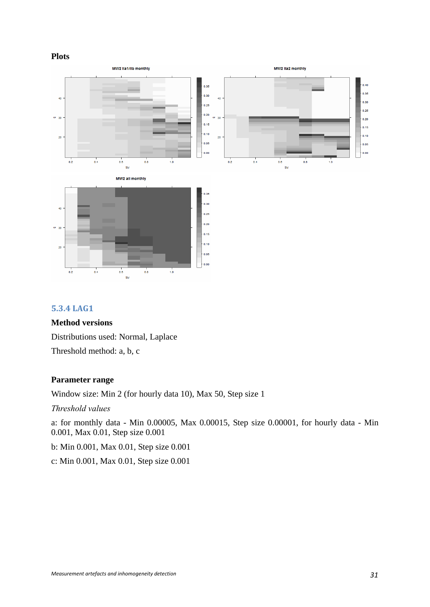#### **Plots**



## **5.3.4 LAG1**

#### <span id="page-30-0"></span>**Method versions**

Distributions used: Normal, Laplace Threshold method: a, b, c

#### **Parameter range**

Window size: Min 2 (for hourly data 10), Max 50, Step size 1

*Threshold values* 

a: for monthly data - Min 0.00005, Max 0.00015, Step size 0.00001, for hourly data - Min 0.001, Max 0.01, Step size 0.001

b: Min 0.001, Max 0.01, Step size 0.001

c: Min 0.001, Max 0.01, Step size 0.001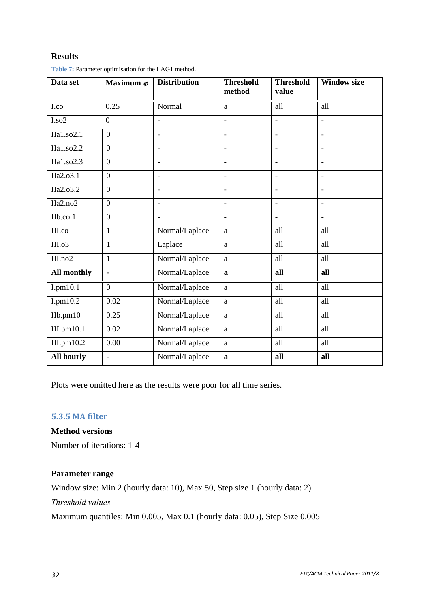## **Results**

| Data set                              | Maximum $\varphi$ | <b>Distribution</b> | <b>Threshold</b><br>method | <b>Threshold</b><br>value | <b>Window size</b>       |
|---------------------------------------|-------------------|---------------------|----------------------------|---------------------------|--------------------------|
| I.co                                  | 0.25              | Normal              | a                          | all                       | all                      |
| I.so2                                 | $\theta$          | $\blacksquare$      |                            |                           | $\overline{a}$           |
| $\Pi$ a1.so2.1                        | $\overline{0}$    | $\overline{a}$      | $\overline{a}$             | $\overline{a}$            | $\overline{a}$           |
| IIa1.so2.2                            | $\overline{0}$    | $\overline{a}$      | $\blacksquare$             | $\overline{a}$            | $\overline{a}$           |
| $\overline{\text{Ila}1.\text{so}2.3}$ | $\overline{0}$    | $\overline{a}$      | $\overline{\phantom{a}}$   | $\overline{\phantom{0}}$  | $\overline{a}$           |
| IIa2.o3.1                             | $\overline{0}$    | $\overline{a}$      | $\blacksquare$             | $\overline{a}$            | $\overline{\phantom{a}}$ |
| IIa2.o3.2                             | $\overline{0}$    | $\blacksquare$      |                            | $\overline{\phantom{a}}$  | $\overline{a}$           |
| IIa2.no2                              | $\overline{0}$    | $\blacksquare$      | $\overline{\phantom{a}}$   | $\overline{\phantom{a}}$  | $\overline{\phantom{a}}$ |
| IIb.co.1                              | $\boldsymbol{0}$  | $\equiv$            | $\overline{\phantom{a}}$   | $\overline{a}$            | $\overline{a}$           |
| III.co                                | $\mathbf{1}$      | Normal/Laplace      | a                          | all                       | all                      |
| III.o3                                | $\mathbf{1}$      | Laplace             | $\mathbf{a}$               | all                       | all                      |
| III.no2                               | $\mathbf{1}$      | Normal/Laplace      | a                          | all                       | all                      |
| All monthly                           | $\blacksquare$    | Normal/Laplace      | $\mathbf{a}$               | all                       | all                      |
| $I.pm10.\overline{1}$                 | $\overline{0}$    | Normal/Laplace      | a                          | all                       | all                      |
| I.pm10.2                              | 0.02              | Normal/Laplace      | $\mathbf{a}$               | all                       | all                      |
| $IIb$ .pm $10$                        | 0.25              | Normal/Laplace      | a                          | all                       | all                      |
| III.pm10.1                            | 0.02              | Normal/Laplace      | $\rm{a}$                   | all                       | all                      |
| III.pm10.2                            | 0.00              | Normal/Laplace      | $\mathbf{a}$               | all                       | all                      |
| <b>All hourly</b>                     | $\blacksquare$    | Normal/Laplace      | $\mathbf{a}$               | all                       | all                      |

**Table 7:** Parameter optimisation for the LAG1 method.

Plots were omitted here as the results were poor for all time series.

## **5.3.5 MA filter**

<span id="page-31-0"></span>**Method versions** 

Number of iterations: 1-4

#### **Parameter range**

Window size: Min 2 (hourly data: 10), Max 50, Step size 1 (hourly data: 2)

*Threshold values* 

Maximum quantiles: Min 0.005, Max 0.1 (hourly data: 0.05), Step Size 0.005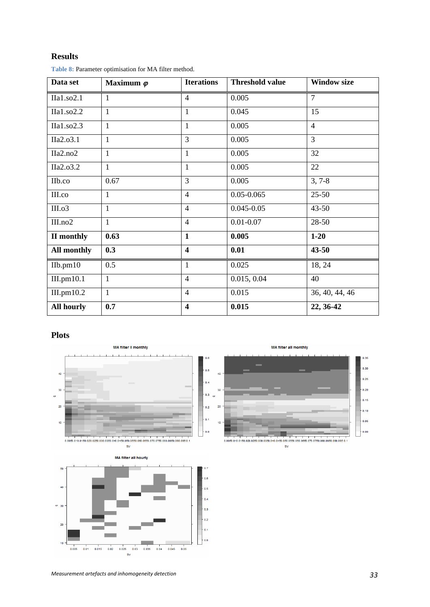#### **Results**

<span id="page-32-0"></span>

| Data set          | Maximum $\varphi$ | <b>Iterations</b>        | <b>Threshold value</b> | <b>Window size</b> |
|-------------------|-------------------|--------------------------|------------------------|--------------------|
| IIa1.so2.1        | 1                 | $\overline{\mathcal{A}}$ | 0.005                  | 7                  |
| IIa1.so2.2        | $\mathbf{1}$      | 1                        | 0.045                  | 15                 |
| IIa1.so2.3        | $\mathbf{1}$      | $\mathbf{1}$             | 0.005                  | $\overline{4}$     |
| IIa2.o3.1         | 1                 | 3                        | 0.005                  | $\overline{3}$     |
| IIa2.no2          | $\mathbf{1}$      | $\mathbf{1}$             | 0.005                  | 32                 |
| IIa2.o3.2         | $\mathbf{1}$      | $\mathbf{1}$             | 0.005                  | 22                 |
| IIb.co            | 0.67              | 3                        | 0.005                  | $3, 7-8$           |
| III.co            | $\mathbf{1}$      | $\overline{4}$           | $0.05 - 0.065$         | $25 - 50$          |
| III.o3            | 1                 | $\overline{4}$           | $0.045 - 0.05$         | $43 - 50$          |
| III.no2           | $\mathbf{1}$      | $\overline{4}$           | $0.01 - 0.07$          | 28-50              |
| II monthly        | 0.63              | $\mathbf{1}$             | 0.005                  | $1 - 20$           |
| All monthly       | 0.3               | $\overline{\mathbf{4}}$  | 0.01                   | $43 - 50$          |
| Ilb.pm10          | 0.5               | $\mathbf{1}$             | 0.025                  | 18, 24             |
| III.pm10.1        | $\mathbf{1}$      | $\overline{4}$           | 0.015, 0.04            | 40                 |
| III.pm10.2        | $\mathbf{1}$      | $\overline{4}$           | 0.015                  | 36, 40, 44, 46     |
| <b>All hourly</b> | 0.7               | $\overline{\mathbf{4}}$  | 0.015                  | 22, 36-42          |

**Table 8:** Parameter optimisation for MA filter method.

#### **Plots**





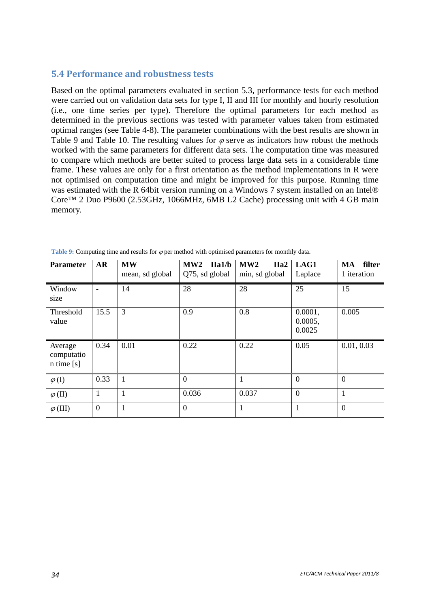## <span id="page-33-0"></span>**5.4 Performance and robustness tests**

Based on the optimal parameters evaluated in section 5.3, performance tests for each method were carried out on validation data sets for type I, II and III for monthly and hourly resolution (i.e., one time series per type). Therefore the optimal parameters for each method as determined in the previous sections was tested with parameter values taken from estimated optimal ranges (see Table 4-8). The parameter combinations with the best results are shown in [Table 9](#page-33-1) and [Table 10.](#page-34-0) The resulting values for  $\varphi$  serve as indicators how robust the methods worked with the same parameters for different data sets. The computation time was measured to compare which methods are better suited to process large data sets in a considerable time frame. These values are only for a first orientation as the method implementations in R were not optimised on computation time and might be improved for this purpose. Running time was estimated with the R 64bit version running on a Windows 7 system installed on an Intel® Core™ 2 Duo P9600 (2.53GHz, 1066MHz, 6MB L2 Cache) processing unit with 4 GB main memory.

<span id="page-33-1"></span>

| <b>Parameter</b>                        | <b>AR</b> | <b>MW</b><br>mean, sd global | MW2<br>IIa1/b<br>Q75, sd global | MW2<br>IIa <sub>2</sub><br>min, sd global | LAG1<br>Laplace              | MA filter<br>1 iteration |
|-----------------------------------------|-----------|------------------------------|---------------------------------|-------------------------------------------|------------------------------|--------------------------|
| Window<br>size                          |           | 14                           | 28                              | 28                                        | 25                           | 15                       |
| Threshold<br>value                      | 15.5      | 3                            | 0.9                             | 0.8                                       | 0.0001,<br>0.0005,<br>0.0025 | 0.005                    |
| Average<br>computatio<br>$n \times [s]$ | 0.34      | 0.01                         | 0.22                            | 0.22                                      | 0.05                         | 0.01, 0.03               |
| $\varphi$ (I)                           | 0.33      |                              | $\Omega$                        |                                           | $\theta$                     | $\Omega$                 |
| $\varphi$ (II)                          |           |                              | 0.036                           | 0.037                                     | $\overline{0}$               | $\mathbf{1}$             |
| $\varphi$ (III)                         | $\theta$  |                              | $\overline{0}$                  | 1                                         |                              | $\theta$                 |

**Table 9:** Computing time and results for  $\varphi$  per method with optimised parameters for monthly data.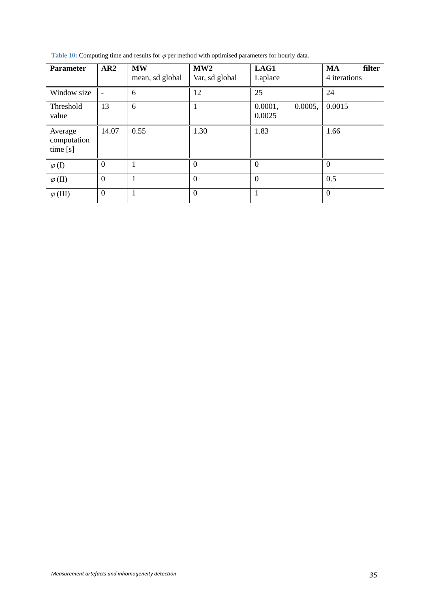Table 10: Computing time and results for  $\varphi$  per method with optimised parameters for hourly data.

<span id="page-34-0"></span>

| <b>Parameter</b>                  | AR2                      | <b>MW</b><br>mean, sd global | MW2<br>Var, sd global | LAG1<br>Laplace              | <b>MA</b><br>filter<br>4 iterations |
|-----------------------------------|--------------------------|------------------------------|-----------------------|------------------------------|-------------------------------------|
| Window size                       | $\overline{\phantom{a}}$ | 6                            | 12                    | 25                           | 24                                  |
| Threshold<br>value                | 13                       | 6                            |                       | 0.0001,<br>0.0005,<br>0.0025 | 0.0015                              |
| Average<br>computation<br>time[s] | 14.07                    | 0.55                         | 1.30                  | 1.83                         | 1.66                                |
| $\varphi$ (I)                     | $\overline{0}$           |                              | $\Omega$              | $\overline{0}$               | $\theta$                            |
| $\varphi$ (II)                    | $\overline{0}$           |                              | $\theta$              | $\overline{0}$               | 0.5                                 |
| $\varphi$ (III)                   | $\theta$                 |                              | $\theta$              | 1                            | $\theta$                            |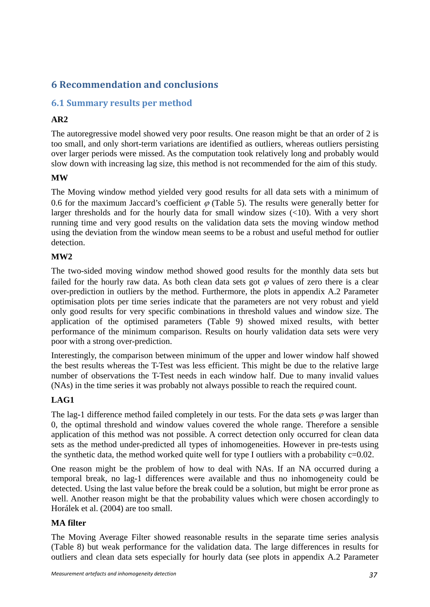# <span id="page-36-0"></span>**6 Recommendation and conclusions**

## <span id="page-36-1"></span>**6.1 Summary results per method**

## **AR2**

The autoregressive model showed very poor results. One reason might be that an order of 2 is too small, and only short-term variations are identified as outliers, whereas outliers persisting over larger periods were missed. As the computation took relatively long and probably would slow down with increasing lag size, this method is not recommended for the aim of this study.

## **MW**

The Moving window method yielded very good results for all data sets with a minimum of 0.6 for the maximum Jaccard's coefficient  $\varphi$  [\(Table 5\)](#page-28-0). The results were generally better for larger thresholds and for the hourly data for small window sizes  $\left(\langle 10 \rangle\right)$ . With a very short running time and very good results on the validation data sets the moving window method using the deviation from the window mean seems to be a robust and useful method for outlier detection.

## **MW2**

The two-sided moving window method showed good results for the monthly data sets but failed for the hourly raw data. As both clean data sets got  $\varphi$  values of zero there is a clear over-prediction in outliers by the method. Furthermore, the plots in appendix [A.2 Parameter](#page-48-0)  [optimisation plots per time series](#page-48-0) indicate that the parameters are not very robust and yield only good results for very specific combinations in threshold values and window size. The application of the optimised parameters [\(Table 9](#page-33-1)) showed mixed results, with better performance of the minimum comparison. Results on hourly validation data sets were very poor with a strong over-prediction.

Interestingly, the comparison between minimum of the upper and lower window half showed the best results whereas the T-Test was less efficient. This might be due to the relative large number of observations the T-Test needs in each window half. Due to many invalid values (NAs) in the time series it was probably not always possible to reach the required count.

## **LAG1**

The lag-1 difference method failed completely in our tests. For the data sets  $\varphi$  was larger than 0, the optimal threshold and window values covered the whole range. Therefore a sensible application of this method was not possible. A correct detection only occurred for clean data sets as the method under-predicted all types of inhomogeneities. However in pre-tests using the synthetic data, the method worked quite well for type I outliers with a probability  $c=0.02$ .

One reason might be the problem of how to deal with NAs. If an NA occurred during a temporal break, no lag-1 differences were available and thus no inhomogeneity could be detected. Using the last value before the break could be a solution, but might be error prone as well. Another reason might be that the probability values which were chosen accordingly to Horálek et al. (2004) are too small.

#### **MA filter**

The Moving Average Filter showed reasonable results in the separate time series analysis ([Table 8\)](#page-32-0) but weak performance for the validation data. The large differences in results for outliers and clean data sets especially for hourly data (see plots in appendix [A.2 Parameter](#page-48-0)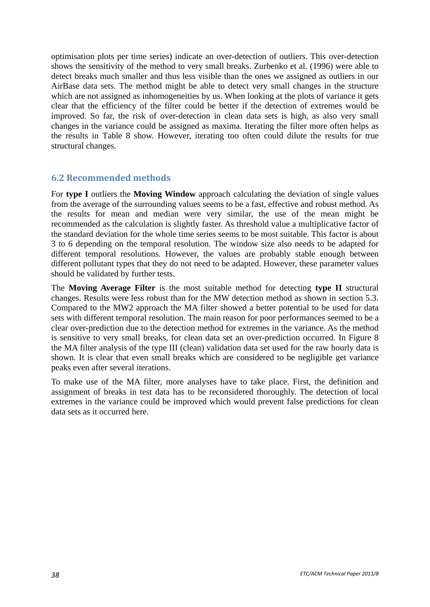optimisation plots per time series) indicate an over-detection of outliers. This over-detection shows the sensitivity of the method to very small breaks. Zurbenko et al. (1996) were able to detect breaks much smaller and thus less visible than the ones we assigned as outliers in our AirBase data sets. The method might be able to detect very small changes in the structure which are not assigned as inhomogeneities by us. When looking at the plots of variance it gets clear that the efficiency of the filter could be better if the detection of extremes would be improved. So far, the risk of over-detection in clean data sets is high, as also very small changes in the variance could be assigned as maxima. Iterating the filter more often helps as the results in [Table 8](#page-32-0) show. However, iterating too often could dilute the results for true structural changes.

## <span id="page-37-0"></span>**6.2 Recommended methods**

For **type I** outliers the **Moving Window** approach calculating the deviation of single values from the average of the surrounding values seems to be a fast, effective and robust method. As the results for mean and median were very similar, the use of the mean might be recommended as the calculation is slightly faster. As threshold value a multiplicative factor of the standard deviation for the whole time series seems to be most suitable. This factor is about 3 to 6 depending on the temporal resolution. The window size also needs to be adapted for different temporal resolutions. However, the values are probably stable enough between different pollutant types that they do not need to be adapted. However, these parameter values should be validated by further tests.

The **Moving Average Filter** is the most suitable method for detecting **type II** structural changes. Results were less robust than for the MW detection method as shown in section 5.3. Compared to the MW2 approach the MA filter showed a better potential to be used for data sets with different temporal resolution. The main reason for poor performances seemed to be a clear over-prediction due to the detection method for extremes in the variance. As the method is sensitive to very small breaks, for clean data set an over-prediction occurred. In [Figure 8](#page-38-1) the MA filter analysis of the type III (clean) validation data set used for the raw hourly data is shown. It is clear that even small breaks which are considered to be negligible get variance peaks even after several iterations.

To make use of the MA filter, more analyses have to take place. First, the definition and assignment of breaks in test data has to be reconsidered thoroughly. The detection of local extremes in the variance could be improved which would prevent false predictions for clean data sets as it occurred here.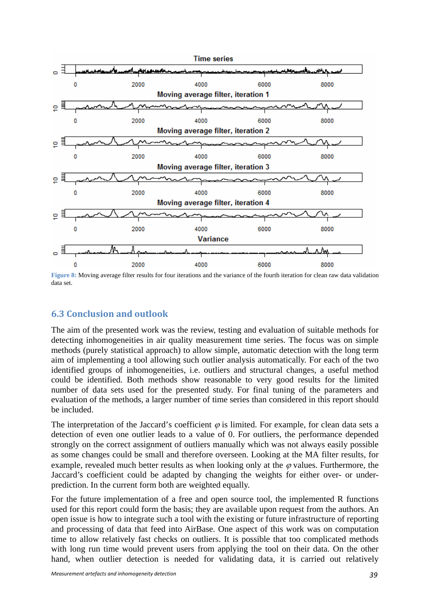

<span id="page-38-1"></span>**Figure 8:** Moving average filter results for four iterations and the variance of the fourth iteration for clean raw data validation data set.

## <span id="page-38-0"></span>**6.3 Conclusion and outlook**

The aim of the presented work was the review, testing and evaluation of suitable methods for detecting inhomogeneities in air quality measurement time series. The focus was on simple methods (purely statistical approach) to allow simple, automatic detection with the long term aim of implementing a tool allowing such outlier analysis automatically. For each of the two identified groups of inhomogeneities, i.e. outliers and structural changes, a useful method could be identified. Both methods show reasonable to very good results for the limited number of data sets used for the presented study. For final tuning of the parameters and evaluation of the methods, a larger number of time series than considered in this report should be included.

The interpretation of the Jaccard's coefficient  $\varphi$  is limited. For example, for clean data sets a detection of even one outlier leads to a value of 0. For outliers, the performance depended strongly on the correct assignment of outliers manually which was not always easily possible as some changes could be small and therefore overseen. Looking at the MA filter results, for example, revealed much better results as when looking only at the  $\varphi$  values. Furthermore, the Jaccard's coefficient could be adapted by changing the weights for either over- or underprediction. In the current form both are weighted equally.

For the future implementation of a free and open source tool, the implemented R functions used for this report could form the basis; they are available upon request from the authors. An open issue is how to integrate such a tool with the existing or future infrastructure of reporting and processing of data that feed into AirBase. One aspect of this work was on computation time to allow relatively fast checks on outliers. It is possible that too complicated methods with long run time would prevent users from applying the tool on their data. On the other hand, when outlier detection is needed for validating data, it is carried out relatively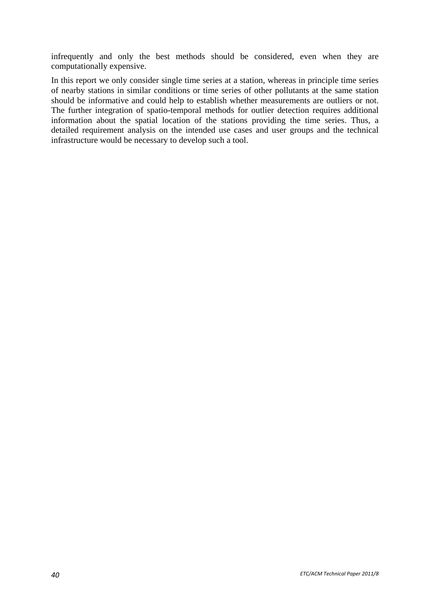infrequently and only the best methods should be considered, even when they are computationally expensive.

In this report we only consider single time series at a station, whereas in principle time series of nearby stations in similar conditions or time series of other pollutants at the same station should be informative and could help to establish whether measurements are outliers or not. The further integration of spatio-temporal methods for outlier detection requires additional information about the spatial location of the stations providing the time series. Thus, a detailed requirement analysis on the intended use cases and user groups and the technical infrastructure would be necessary to develop such a tool.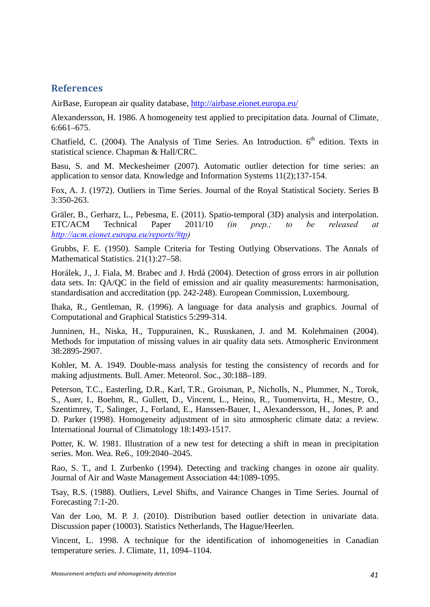## <span id="page-40-0"></span>**References**

AirBase, European air quality database, <http://airbase.eionet.europa.eu/>

Alexandersson, H. 1986. A homogeneity test applied to precipitation data. Journal of Climate, 6:661–675.

Chatfield, C. (2004). The Analysis of Time Series. An Introduction.  $6<sup>th</sup>$  edition. Texts in statistical science. Chapman & Hall/CRC.

Basu, S. and M. Meckesheimer (2007). Automatic outlier detection for time series: an application to sensor data. Knowledge and Information Systems 11(2);137-154.

Fox, A. J. (1972). Outliers in Time Series. Journal of the Royal Statistical Society. Series B 3:350-263.

Gräler, B., Gerharz, L., Pebesma, E. (2011). Spatio-temporal (3D) analysis and interpolation. ETC/ACM Technical Paper 2011/10 *(in prep.; to be released at [http://acm.eionet.europa.eu/reports/#tp\)](http://acm.eionet.europa.eu/reports/#tp)* 

Grubbs, F. E. (1950). Sample Criteria for Testing Outlying Observations. The Annals of Mathematical Statistics. 21(1):27–58.

Horálek, J., J. Fiala, M. Brabec and J. Hrdá (2004). Detection of gross errors in air pollution data sets. In: QA/QC in the field of emission and air quality measurements: harmonisation, standardisation and accreditation (pp. 242-248). European Commission, Luxembourg.

Ihaka, R., Gentleman, R. (1996). A language for data analysis and graphics. Journal of Computational and Graphical Statistics 5:299-314.

Junninen, H., Niska, H., Tuppurainen, K., Ruuskanen, J. and M. Kolehmainen (2004). Methods for imputation of missing values in air quality data sets. Atmospheric Environment 38:2895-2907.

Kohler, M. A. 1949. Double-mass analysis for testing the consistency of records and for making adjustments. Bull. Amer. Meteorol. Soc., 30:188–189.

Peterson, T.C., Easterling, D.R., Karl, T.R., Groisman, P., Nicholls, N., Plummer, N., Torok, S., Auer, I., Boehm, R., Gullett, D., Vincent, L., Heino, R., Tuomenvirta, H., Mestre, O., Szentimrey, T., Salinger, J., Forland, E., Hanssen-Bauer, I., Alexandersson, H., Jones, P. and D. Parker (1998). Homogeneity adjustment of in situ atmospheric climate data: a review. International Journal of Climatology 18:1493-1517.

Potter, K. W. 1981. Illustration of a new test for detecting a shift in mean in precipitation series. Mon. Wea. Re6., 109:2040–2045.

Rao, S. T., and I. Zurbenko (1994). Detecting and tracking changes in ozone air quality. Journal of Air and Waste Management Association 44:1089-1095.

Tsay, R.S. (1988). Outliers, Level Shifts, and Vairance Changes in Time Series. Journal of Forecasting 7:1-20.

Van der Loo, M. P. J. (2010). Distribution based outlier detection in univariate data. Discussion paper (10003). Statistics Netherlands, The Hague/Heerlen.

Vincent, L. 1998. A technique for the identification of inhomogeneities in Canadian temperature series. J. Climate, 11, 1094–1104.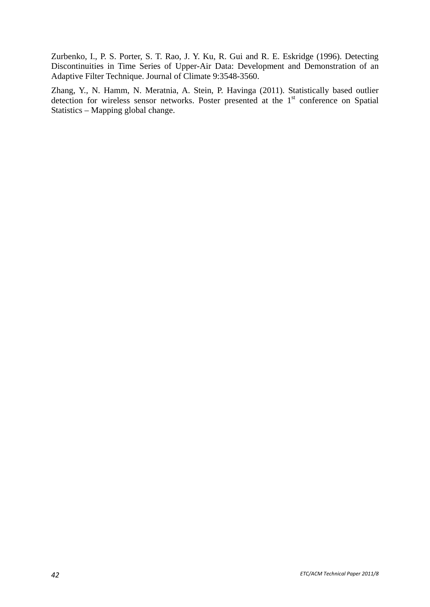Zurbenko, I., P. S. Porter, S. T. Rao, J. Y. Ku, R. Gui and R. E. Eskridge (1996). Detecting Discontinuities in Time Series of Upper-Air Data: Development and Demonstration of an Adaptive Filter Technique. Journal of Climate 9:3548-3560.

Zhang, Y., N. Hamm, N. Meratnia, A. Stein, P. Havinga (2011). Statistically based outlier detection for wireless sensor networks. Poster presented at the 1<sup>st</sup> conference on Spatial Statistics – Mapping global change.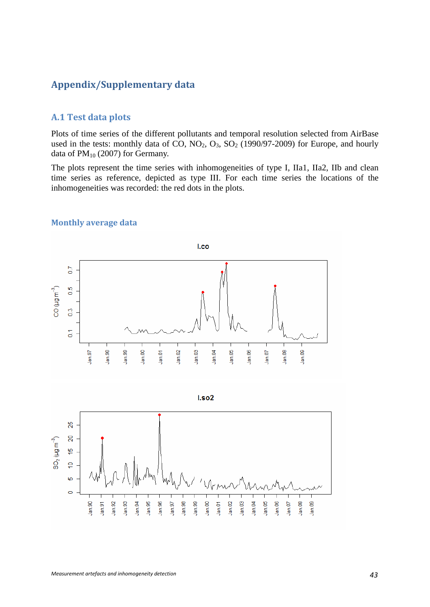## <span id="page-42-0"></span>**Appendix/Supplementary data**

## <span id="page-42-1"></span>**A.1 Test data plots**

Plots of time series of the different pollutants and temporal resolution selected from AirBase used in the tests: monthly data of CO,  $NO_2$ ,  $O_3$ ,  $SO_2$  (1990/97-2009) for Europe, and hourly data of  $PM_{10}$  (2007) for Germany.

The plots represent the time series with inhomogeneities of type I, IIa1, IIa2, IIb and clean time series as reference, depicted as type III. For each time series the locations of the inhomogeneities was recorded: the red dots in the plots.

<span id="page-42-2"></span>

#### **Monthly average data**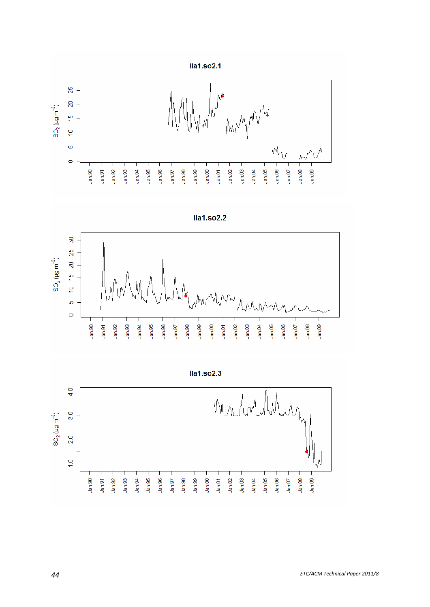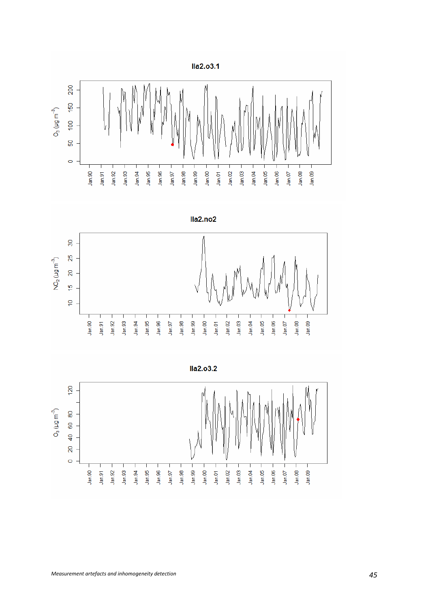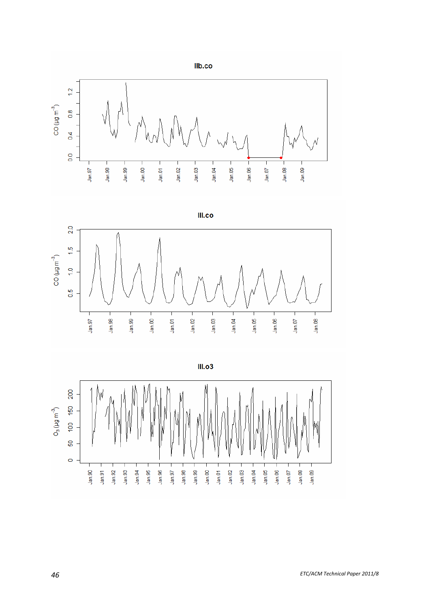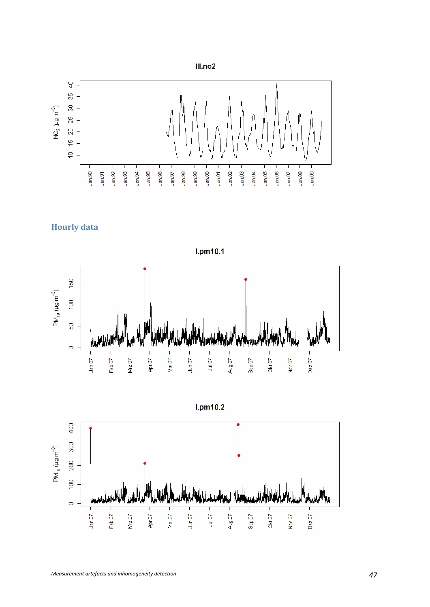



<span id="page-46-0"></span>



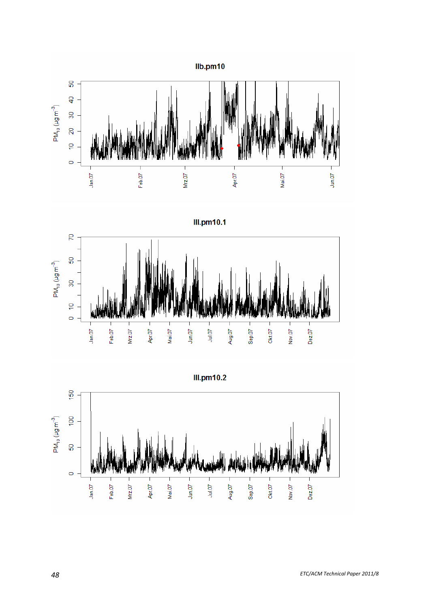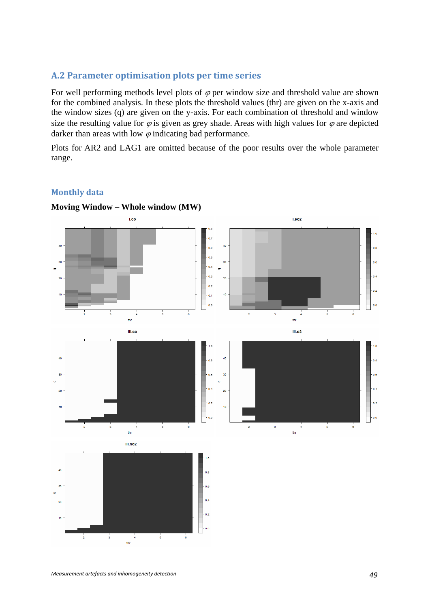#### <span id="page-48-0"></span>**A.2 Parameter optimisation plots per time series**

For well performing methods level plots of  $\varphi$  per window size and threshold value are shown for the combined analysis. In these plots the threshold values (thr) are given on the x-axis and the window sizes (q) are given on the y-axis. For each combination of threshold and window size the resulting value for  $\varphi$  is given as grey shade. Areas with high values for  $\varphi$  are depicted darker than areas with low  $\varphi$  indicating bad performance.

Plots for AR2 and LAG1 are omitted because of the poor results over the whole parameter range.

#### **Monthly data**

<span id="page-48-1"></span>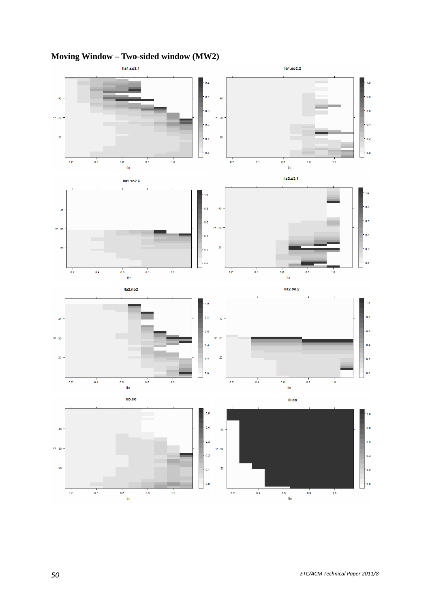

# **Moving Window – Two-sided window (MW2)**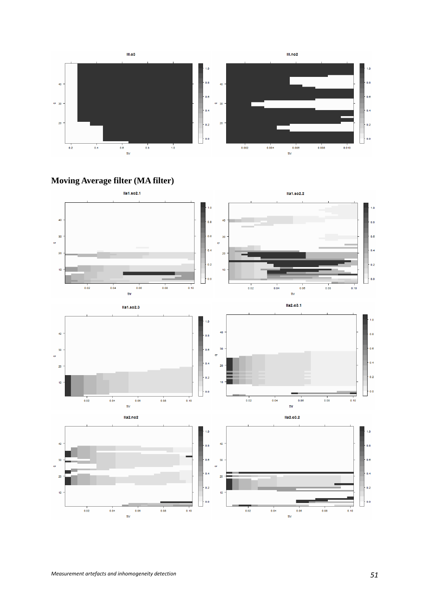

**Moving Average filter (MA filter)** 

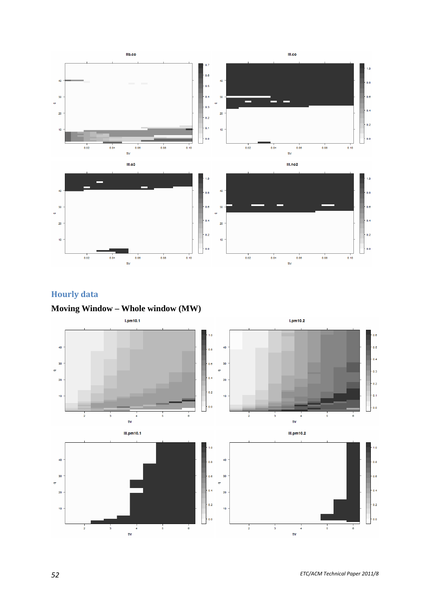

# **Hourly data**

<span id="page-51-0"></span>